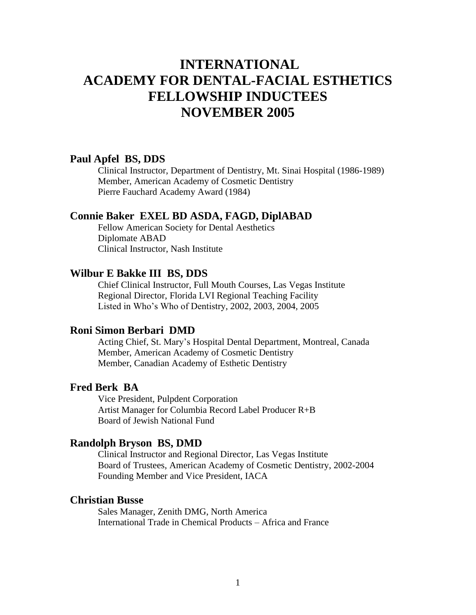# **INTERNATIONAL ACADEMY FOR DENTAL-FACIAL ESTHETICS FELLOWSHIP INDUCTEES NOVEMBER 2005**

# **Paul Apfel BS, DDS**

Clinical Instructor, Department of Dentistry, Mt. Sinai Hospital (1986-1989) Member, American Academy of Cosmetic Dentistry Pierre Fauchard Academy Award (1984)

# **Connie Baker EXEL BD ASDA, FAGD, DiplABAD**

Fellow American Society for Dental Aesthetics Diplomate ABAD Clinical Instructor, Nash Institute

## **Wilbur E Bakke III BS, DDS**

Chief Clinical Instructor, Full Mouth Courses, Las Vegas Institute Regional Director, Florida LVI Regional Teaching Facility Listed in Who's Who of Dentistry, 2002, 2003, 2004, 2005

#### **Roni Simon Berbari DMD**

Acting Chief, St. Mary's Hospital Dental Department, Montreal, Canada Member, American Academy of Cosmetic Dentistry Member, Canadian Academy of Esthetic Dentistry

## **Fred Berk BA**

Vice President, Pulpdent Corporation Artist Manager for Columbia Record Label Producer R+B Board of Jewish National Fund

#### **Randolph Bryson BS, DMD**

Clinical Instructor and Regional Director, Las Vegas Institute Board of Trustees, American Academy of Cosmetic Dentistry, 2002-2004 Founding Member and Vice President, IACA

# **Christian Busse**

Sales Manager, Zenith DMG, North America International Trade in Chemical Products – Africa and France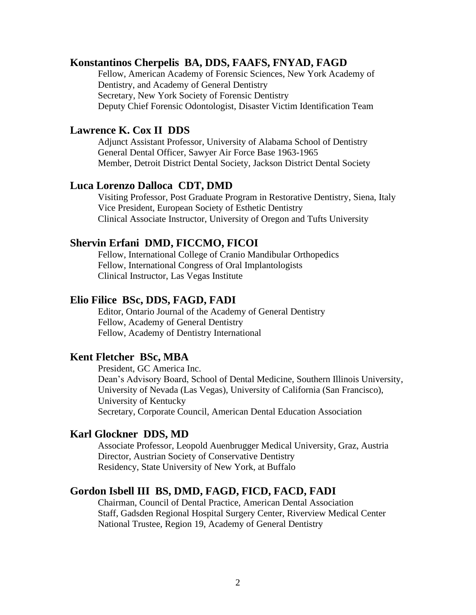## **Konstantinos Cherpelis BA, DDS, FAAFS, FNYAD, FAGD**

Fellow, American Academy of Forensic Sciences, New York Academy of Dentistry, and Academy of General Dentistry Secretary, New York Society of Forensic Dentistry Deputy Chief Forensic Odontologist, Disaster Victim Identification Team

# **Lawrence K. Cox II DDS**

Adjunct Assistant Professor, University of Alabama School of Dentistry General Dental Officer, Sawyer Air Force Base 1963-1965 Member, Detroit District Dental Society, Jackson District Dental Society

#### **Luca Lorenzo Dalloca CDT, DMD**

Visiting Professor, Post Graduate Program in Restorative Dentistry, Siena, Italy Vice President, European Society of Esthetic Dentistry Clinical Associate Instructor, University of Oregon and Tufts University

# **Shervin Erfani DMD, FICCMO, FICOI**

Fellow, International College of Cranio Mandibular Orthopedics Fellow, International Congress of Oral Implantologists Clinical Instructor, Las Vegas Institute

#### **Elio Filice BSc, DDS, FAGD, FADI**

Editor, Ontario Journal of the Academy of General Dentistry Fellow, Academy of General Dentistry Fellow, Academy of Dentistry International

# **Kent Fletcher BSc, MBA**

President, GC America Inc. Dean's Advisory Board, School of Dental Medicine, Southern Illinois University, University of Nevada (Las Vegas), University of California (San Francisco), University of Kentucky Secretary, Corporate Council, American Dental Education Association

## **Karl Glockner DDS, MD**

Associate Professor, Leopold Auenbrugger Medical University, Graz, Austria Director, Austrian Society of Conservative Dentistry Residency, State University of New York, at Buffalo

# **Gordon Isbell III BS, DMD, FAGD, FICD, FACD, FADI**

Chairman, Council of Dental Practice, American Dental Association Staff, Gadsden Regional Hospital Surgery Center, Riverview Medical Center National Trustee, Region 19, Academy of General Dentistry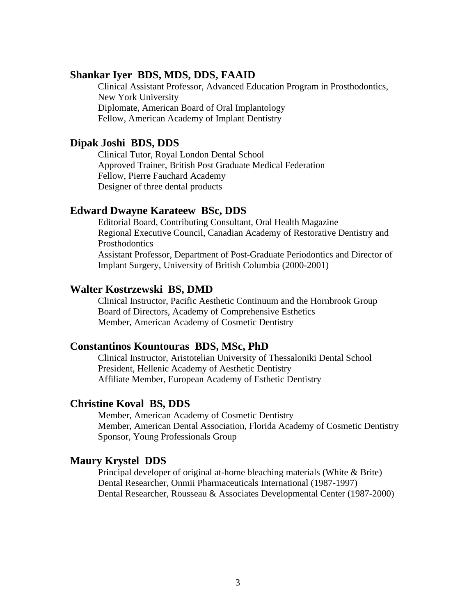# **Shankar Iyer BDS, MDS, DDS, FAAID**

Clinical Assistant Professor, Advanced Education Program in Prosthodontics, New York University Diplomate, American Board of Oral Implantology Fellow, American Academy of Implant Dentistry

# **Dipak Joshi BDS, DDS**

Clinical Tutor, Royal London Dental School Approved Trainer, British Post Graduate Medical Federation Fellow, Pierre Fauchard Academy Designer of three dental products

# **Edward Dwayne Karateew BSc, DDS**

Editorial Board, Contributing Consultant, Oral Health Magazine Regional Executive Council, Canadian Academy of Restorative Dentistry and **Prosthodontics** Assistant Professor, Department of Post-Graduate Periodontics and Director of Implant Surgery, University of British Columbia (2000-2001)

# **Walter Kostrzewski BS, DMD**

Clinical Instructor, Pacific Aesthetic Continuum and the Hornbrook Group Board of Directors, Academy of Comprehensive Esthetics Member, American Academy of Cosmetic Dentistry

# **Constantinos Kountouras BDS, MSc, PhD**

Clinical Instructor, Aristotelian University of Thessaloniki Dental School President, Hellenic Academy of Aesthetic Dentistry Affiliate Member, European Academy of Esthetic Dentistry

#### **Christine Koval BS, DDS**

Member, American Academy of Cosmetic Dentistry Member, American Dental Association, Florida Academy of Cosmetic Dentistry Sponsor, Young Professionals Group

# **Maury Krystel DDS**

Principal developer of original at-home bleaching materials (White & Brite) Dental Researcher, Onmii Pharmaceuticals International (1987-1997) Dental Researcher, Rousseau & Associates Developmental Center (1987-2000)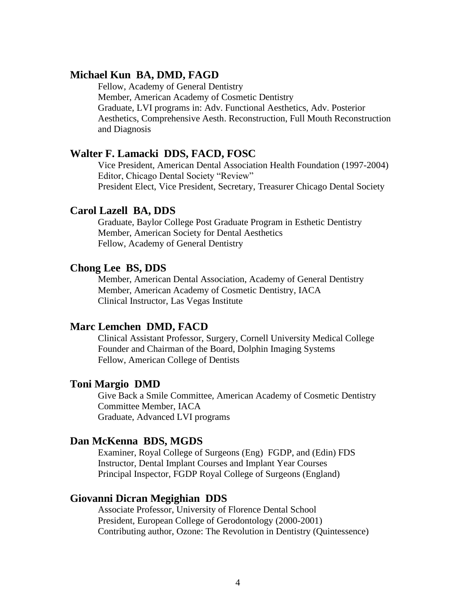# **Michael Kun BA, DMD, FAGD**

Fellow, Academy of General Dentistry Member, American Academy of Cosmetic Dentistry Graduate, LVI programs in: Adv. Functional Aesthetics, Adv. Posterior Aesthetics, Comprehensive Aesth. Reconstruction, Full Mouth Reconstruction and Diagnosis

# **Walter F. Lamacki DDS, FACD, FOSC**

Vice President, American Dental Association Health Foundation (1997-2004) Editor, Chicago Dental Society "Review" President Elect, Vice President, Secretary, Treasurer Chicago Dental Society

# **Carol Lazell BA, DDS**

Graduate, Baylor College Post Graduate Program in Esthetic Dentistry Member, American Society for Dental Aesthetics Fellow, Academy of General Dentistry

#### **Chong Lee BS, DDS**

Member, American Dental Association, Academy of General Dentistry Member, American Academy of Cosmetic Dentistry, IACA Clinical Instructor, Las Vegas Institute

#### **Marc Lemchen DMD, FACD**

Clinical Assistant Professor, Surgery, Cornell University Medical College Founder and Chairman of the Board, Dolphin Imaging Systems Fellow, American College of Dentists

#### **Toni Margio DMD**

Give Back a Smile Committee, American Academy of Cosmetic Dentistry Committee Member, IACA Graduate, Advanced LVI programs

#### **Dan McKenna BDS, MGDS**

Examiner, Royal College of Surgeons (Eng) FGDP, and (Edin) FDS Instructor, Dental Implant Courses and Implant Year Courses Principal Inspector, FGDP Royal College of Surgeons (England)

# **Giovanni Dicran Megighian DDS**

Associate Professor, University of Florence Dental School President, European College of Gerodontology (2000-2001) Contributing author, Ozone: The Revolution in Dentistry (Quintessence)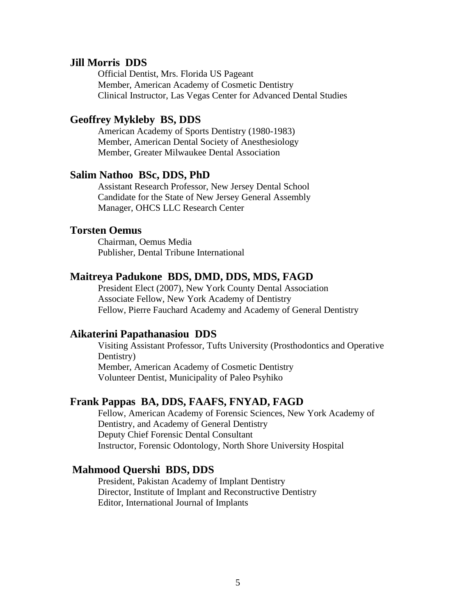# **Jill Morris DDS**

Official Dentist, Mrs. Florida US Pageant Member, American Academy of Cosmetic Dentistry Clinical Instructor, Las Vegas Center for Advanced Dental Studies

# **Geoffrey Mykleby BS, DDS**

American Academy of Sports Dentistry (1980-1983) Member, American Dental Society of Anesthesiology Member, Greater Milwaukee Dental Association

#### **Salim Nathoo BSc, DDS, PhD**

Assistant Research Professor, New Jersey Dental School Candidate for the State of New Jersey General Assembly Manager, OHCS LLC Research Center

# **Torsten Oemus**

Chairman, Oemus Media Publisher, Dental Tribune International

## **Maitreya Padukone BDS, DMD, DDS, MDS, FAGD**

President Elect (2007), New York County Dental Association Associate Fellow, New York Academy of Dentistry Fellow, Pierre Fauchard Academy and Academy of General Dentistry

#### **Aikaterini Papathanasiou DDS**

Visiting Assistant Professor, Tufts University (Prosthodontics and Operative Dentistry) Member, American Academy of Cosmetic Dentistry Volunteer Dentist, Municipality of Paleo Psyhiko

# **Frank Pappas BA, DDS, FAAFS, FNYAD, FAGD**

Fellow, American Academy of Forensic Sciences, New York Academy of Dentistry, and Academy of General Dentistry Deputy Chief Forensic Dental Consultant Instructor, Forensic Odontology, North Shore University Hospital

#### **Mahmood Quershi BDS, DDS**

President, Pakistan Academy of Implant Dentistry Director, Institute of Implant and Reconstructive Dentistry Editor, International Journal of Implants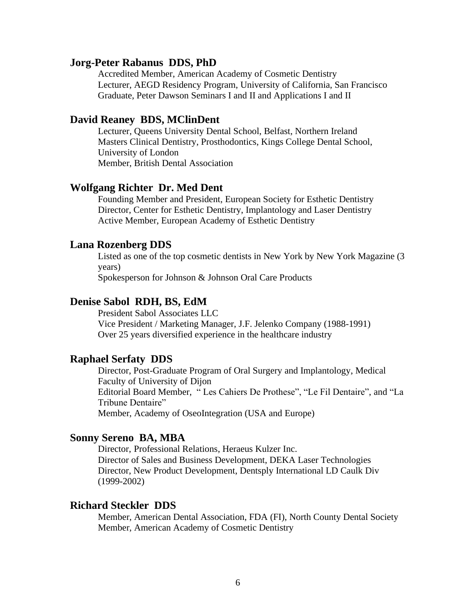#### **Jorg-Peter Rabanus DDS, PhD**

Accredited Member, American Academy of Cosmetic Dentistry Lecturer, AEGD Residency Program, University of California, San Francisco Graduate, Peter Dawson Seminars I and II and Applications I and II

# **David Reaney BDS, MClinDent**

Lecturer, Queens University Dental School, Belfast, Northern Ireland Masters Clinical Dentistry, Prosthodontics, Kings College Dental School, University of London Member, British Dental Association

# **Wolfgang Richter Dr. Med Dent**

Founding Member and President, European Society for Esthetic Dentistry Director, Center for Esthetic Dentistry, Implantology and Laser Dentistry Active Member, European Academy of Esthetic Dentistry

# **Lana Rozenberg DDS**

Listed as one of the top cosmetic dentists in New York by New York Magazine (3 years)

Spokesperson for Johnson & Johnson Oral Care Products

# **Denise Sabol RDH, BS, EdM**

President Sabol Associates LLC Vice President / Marketing Manager, J.F. Jelenko Company (1988-1991) Over 25 years diversified experience in the healthcare industry

# **Raphael Serfaty DDS**

Director, Post-Graduate Program of Oral Surgery and Implantology, Medical Faculty of University of Dijon Editorial Board Member, " Les Cahiers De Prothese", "Le Fil Dentaire", and "La Tribune Dentaire" Member, Academy of OseoIntegration (USA and Europe)

# **Sonny Sereno BA, MBA**

Director, Professional Relations, Heraeus Kulzer Inc. Director of Sales and Business Development, DEKA Laser Technologies Director, New Product Development, Dentsply International LD Caulk Div (1999-2002)

# **Richard Steckler DDS**

Member, American Dental Association, FDA (FI), North County Dental Society Member, American Academy of Cosmetic Dentistry